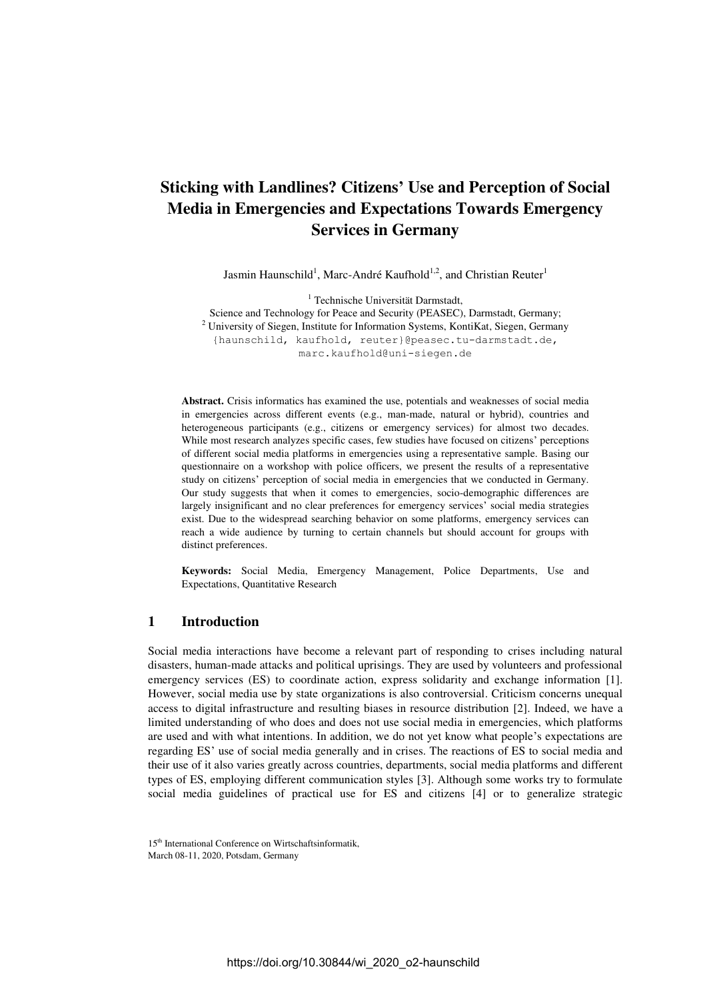# **Sticking with Landlines? Citizens' Use and Perception of Social Media in Emergencies and Expectations Towards Emergency Services in Germany**

Jasmin Haunschild<sup>1</sup>, Marc-André Kaufhold<sup>1,2</sup>, and Christian Reuter<sup>1</sup>

<sup>1</sup> Technische Universität Darmstadt, Science and Technology for Peace and Security (PEASEC), Darmstadt, Germany; <sup>2</sup> University of Siegen, Institute for Information Systems, KontiKat, Siegen, Germany {haunschild, kaufhold, reuter}@peasec.tu-darmstadt.de, marc.kaufhold@uni-siegen.de

**Abstract.** Crisis informatics has examined the use, potentials and weaknesses of social media in emergencies across different events (e.g., man-made, natural or hybrid), countries and heterogeneous participants (e.g., citizens or emergency services) for almost two decades. While most research analyzes specific cases, few studies have focused on citizens' perceptions of different social media platforms in emergencies using a representative sample. Basing our questionnaire on a workshop with police officers, we present the results of a representative study on citizens' perception of social media in emergencies that we conducted in Germany. Our study suggests that when it comes to emergencies, socio-demographic differences are largely insignificant and no clear preferences for emergency services' social media strategies exist. Due to the widespread searching behavior on some platforms, emergency services can reach a wide audience by turning to certain channels but should account for groups with distinct preferences.

**Keywords:** Social Media, Emergency Management, Police Departments, Use and Expectations, Quantitative Research

# **1 Introduction**

Social media interactions have become a relevant part of responding to crises including natural disasters, human-made attacks and political uprisings. They are used by volunteers and professional emergency services (ES) to coordinate action, express solidarity and exchange information [1]. However, social media use by state organizations is also controversial. Criticism concerns unequal access to digital infrastructure and resulting biases in resource distribution [2]. Indeed, we have a limited understanding of who does and does not use social media in emergencies, which platforms are used and with what intentions. In addition, we do not yet know what people's expectations are regarding ES' use of social media generally and in crises. The reactions of ES to social media and their use of it also varies greatly across countries, departments, social media platforms and different types of ES, employing different communication styles [3]. Although some works try to formulate social media guidelines of practical use for ES and citizens [4] or to generalize strategic

<sup>15&</sup>lt;sup>th</sup> International Conference on Wirtschaftsinformatik,

March 08-11, 2020, Potsdam, Germany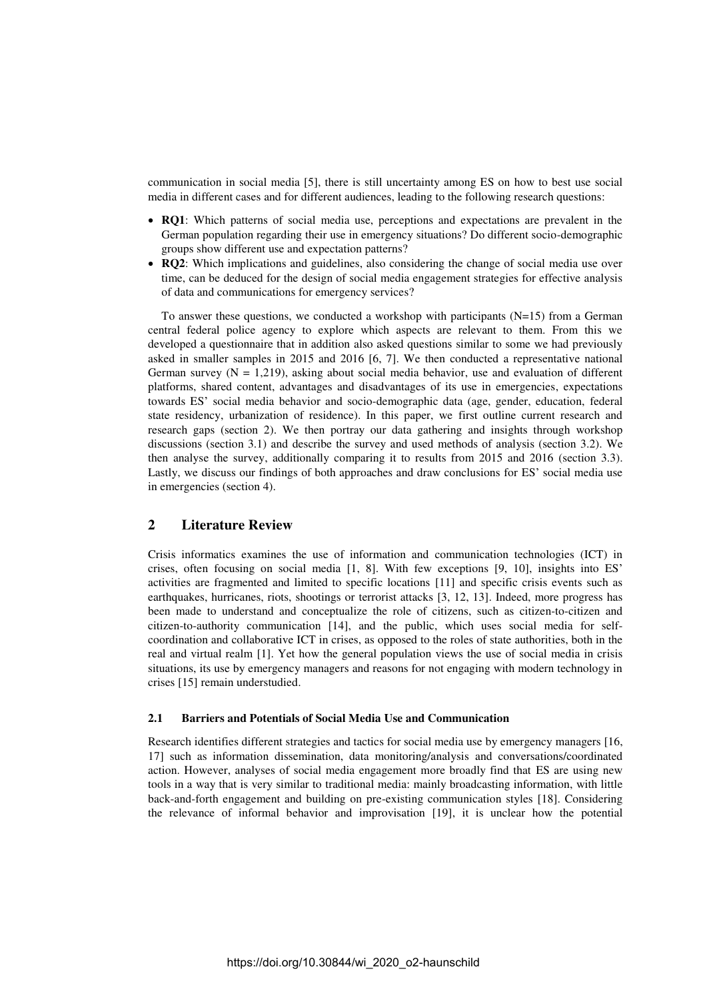communication in social media [5], there is still uncertainty among ES on how to best use social media in different cases and for different audiences, leading to the following research questions:

- **RQ1**: Which patterns of social media use, perceptions and expectations are prevalent in the German population regarding their use in emergency situations? Do different socio-demographic groups show different use and expectation patterns?
- **RQ2**: Which implications and guidelines, also considering the change of social media use over time, can be deduced for the design of social media engagement strategies for effective analysis of data and communications for emergency services?

To answer these questions, we conducted a workshop with participants  $(N=15)$  from a German central federal police agency to explore which aspects are relevant to them. From this we developed a questionnaire that in addition also asked questions similar to some we had previously asked in smaller samples in 2015 and 2016 [6, 7]. We then conducted a representative national German survey ( $N = 1.219$ ), asking about social media behavior, use and evaluation of different platforms, shared content, advantages and disadvantages of its use in emergencies, expectations towards ES' social media behavior and socio-demographic data (age, gender, education, federal state residency, urbanization of residence). In this paper, we first outline current research and research gaps (section 2). We then portray our data gathering and insights through workshop discussions (section 3.1) and describe the survey and used methods of analysis (section 3.2). We then analyse the survey, additionally comparing it to results from 2015 and 2016 (section 3.3). Lastly, we discuss our findings of both approaches and draw conclusions for ES' social media use in emergencies (section 4).

# **2 Literature Review**

Crisis informatics examines the use of information and communication technologies (ICT) in crises, often focusing on social media [1, 8]. With few exceptions [9, 10], insights into ES' activities are fragmented and limited to specific locations [11] and specific crisis events such as earthquakes, hurricanes, riots, shootings or terrorist attacks [3, 12, 13]. Indeed, more progress has been made to understand and conceptualize the role of citizens, such as citizen-to-citizen and citizen-to-authority communication [14], and the public, which uses social media for selfcoordination and collaborative ICT in crises, as opposed to the roles of state authorities, both in the real and virtual realm [1]. Yet how the general population views the use of social media in crisis situations, its use by emergency managers and reasons for not engaging with modern technology in crises [15] remain understudied.

#### **2.1 Barriers and Potentials of Social Media Use and Communication**

Research identifies different strategies and tactics for social media use by emergency managers [16, 17] such as information dissemination, data monitoring/analysis and conversations/coordinated action. However, analyses of social media engagement more broadly find that ES are using new tools in a way that is very similar to traditional media: mainly broadcasting information, with little back-and-forth engagement and building on pre-existing communication styles [18]. Considering the relevance of informal behavior and improvisation [19], it is unclear how the potential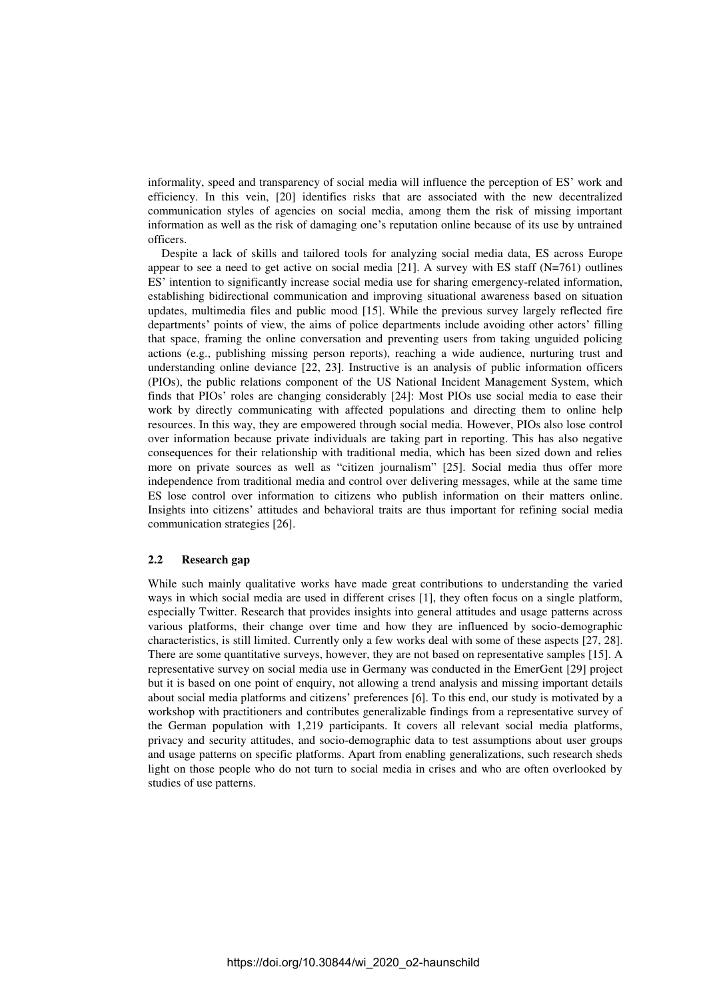informality, speed and transparency of social media will influence the perception of ES' work and efficiency. In this vein, [20] identifies risks that are associated with the new decentralized communication styles of agencies on social media, among them the risk of missing important information as well as the risk of damaging one's reputation online because of its use by untrained officers.

Despite a lack of skills and tailored tools for analyzing social media data, ES across Europe appear to see a need to get active on social media  $[21]$ . A survey with ES staff (N=761) outlines ES' intention to significantly increase social media use for sharing emergency-related information, establishing bidirectional communication and improving situational awareness based on situation updates, multimedia files and public mood [15]. While the previous survey largely reflected fire departments' points of view, the aims of police departments include avoiding other actors' filling that space, framing the online conversation and preventing users from taking unguided policing actions (e.g., publishing missing person reports), reaching a wide audience, nurturing trust and understanding online deviance [22, 23]. Instructive is an analysis of public information officers (PIOs), the public relations component of the US National Incident Management System, which finds that PIOs' roles are changing considerably [24]: Most PIOs use social media to ease their work by directly communicating with affected populations and directing them to online help resources. In this way, they are empowered through social media. However, PIOs also lose control over information because private individuals are taking part in reporting. This has also negative consequences for their relationship with traditional media, which has been sized down and relies more on private sources as well as "citizen journalism" [25]. Social media thus offer more independence from traditional media and control over delivering messages, while at the same time ES lose control over information to citizens who publish information on their matters online. Insights into citizens' attitudes and behavioral traits are thus important for refining social media communication strategies [26].

#### **2.2 Research gap**

While such mainly qualitative works have made great contributions to understanding the varied ways in which social media are used in different crises [1], they often focus on a single platform, especially Twitter. Research that provides insights into general attitudes and usage patterns across various platforms, their change over time and how they are influenced by socio-demographic characteristics, is still limited. Currently only a few works deal with some of these aspects [27, 28]. There are some quantitative surveys, however, they are not based on representative samples [15]. A representative survey on social media use in Germany was conducted in the EmerGent [29] project but it is based on one point of enquiry, not allowing a trend analysis and missing important details about social media platforms and citizens' preferences [6]. To this end, our study is motivated by a workshop with practitioners and contributes generalizable findings from a representative survey of the German population with 1,219 participants. It covers all relevant social media platforms, privacy and security attitudes, and socio-demographic data to test assumptions about user groups and usage patterns on specific platforms. Apart from enabling generalizations, such research sheds light on those people who do not turn to social media in crises and who are often overlooked by studies of use patterns.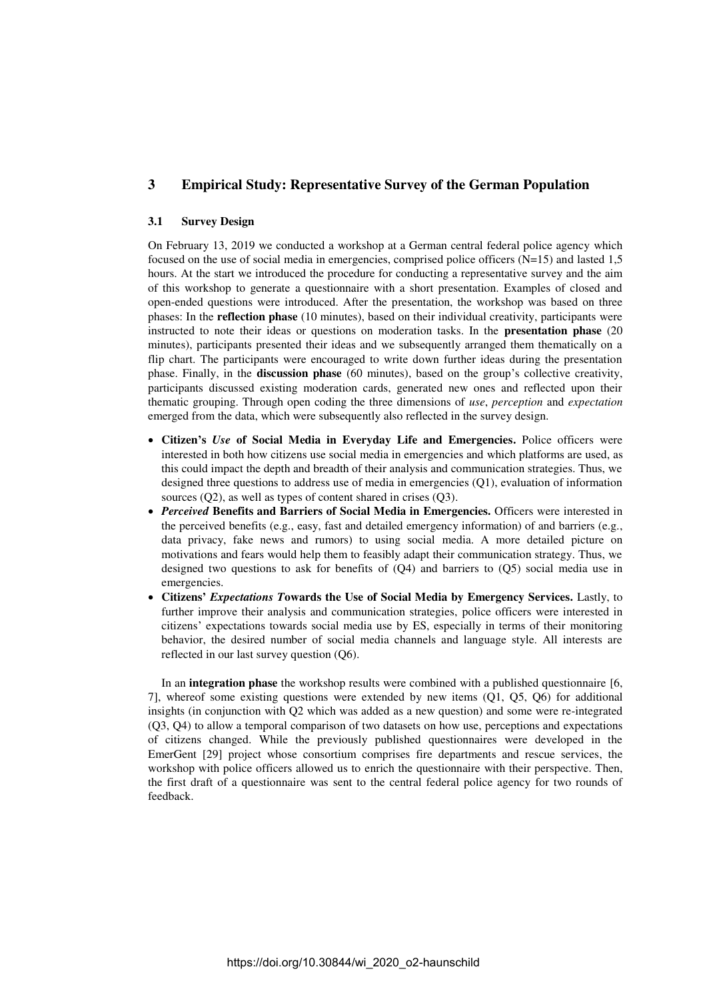# **3 Empirical Study: Representative Survey of the German Population**

#### **3.1 Survey Design**

On February 13, 2019 we conducted a workshop at a German central federal police agency which focused on the use of social media in emergencies, comprised police officers  $(N=15)$  and lasted 1,5 hours. At the start we introduced the procedure for conducting a representative survey and the aim of this workshop to generate a questionnaire with a short presentation. Examples of closed and open-ended questions were introduced. After the presentation, the workshop was based on three phases: In the **reflection phase** (10 minutes), based on their individual creativity, participants were instructed to note their ideas or questions on moderation tasks. In the **presentation phase** (20 minutes), participants presented their ideas and we subsequently arranged them thematically on a flip chart. The participants were encouraged to write down further ideas during the presentation phase. Finally, in the **discussion phase** (60 minutes), based on the group's collective creativity, participants discussed existing moderation cards, generated new ones and reflected upon their thematic grouping. Through open coding the three dimensions of *use*, *perception* and *expectation* emerged from the data, which were subsequently also reflected in the survey design.

- **Citizen's** *Use* **of Social Media in Everyday Life and Emergencies.** Police officers were interested in both how citizens use social media in emergencies and which platforms are used, as this could impact the depth and breadth of their analysis and communication strategies. Thus, we designed three questions to address use of media in emergencies (Q1), evaluation of information sources (Q2), as well as types of content shared in crises (Q3).
- *Perceived* **Benefits and Barriers of Social Media in Emergencies.** Officers were interested in the perceived benefits (e.g., easy, fast and detailed emergency information) of and barriers (e.g., data privacy, fake news and rumors) to using social media. A more detailed picture on motivations and fears would help them to feasibly adapt their communication strategy. Thus, we designed two questions to ask for benefits of  $(Q4)$  and barriers to  $(Q5)$  social media use in emergencies.
- **Citizens'** *Expectations T***owards the Use of Social Media by Emergency Services.** Lastly, to further improve their analysis and communication strategies, police officers were interested in citizens' expectations towards social media use by ES, especially in terms of their monitoring behavior, the desired number of social media channels and language style. All interests are reflected in our last survey question (Q6).

In an **integration phase** the workshop results were combined with a published questionnaire [6, 7], whereof some existing questions were extended by new items (Q1, Q5, Q6) for additional insights (in conjunction with Q2 which was added as a new question) and some were re-integrated (Q3, Q4) to allow a temporal comparison of two datasets on how use, perceptions and expectations of citizens changed. While the previously published questionnaires were developed in the EmerGent [29] project whose consortium comprises fire departments and rescue services, the workshop with police officers allowed us to enrich the questionnaire with their perspective. Then, the first draft of a questionnaire was sent to the central federal police agency for two rounds of feedback.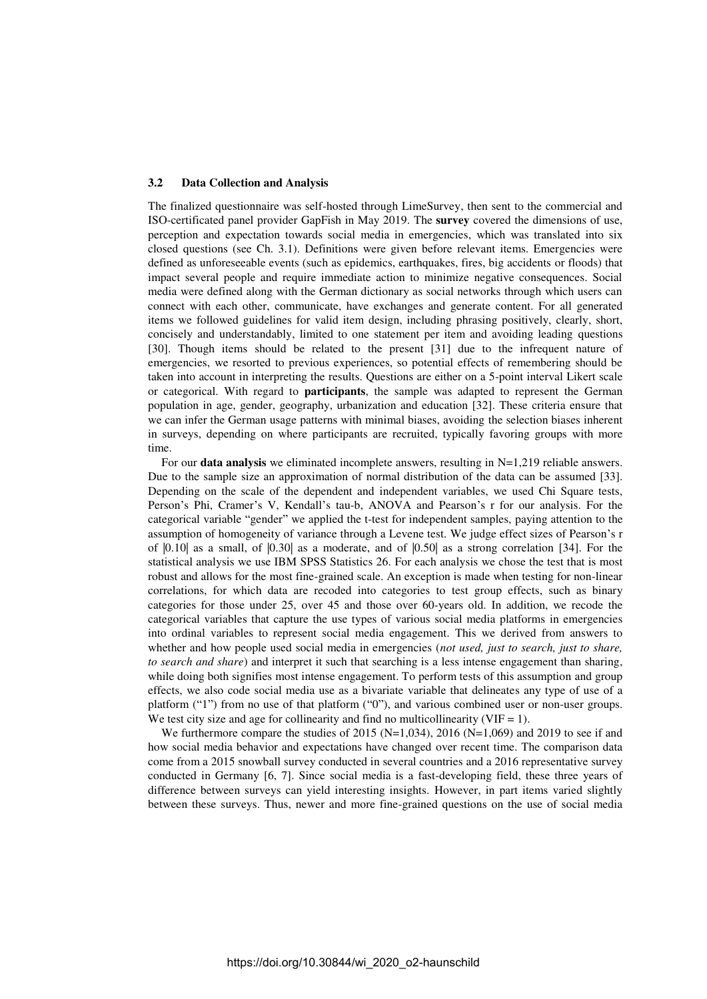#### **3.2 Data Collection and Analysis**

The finalized questionnaire was self-hosted through LimeSurvey, then sent to the commercial and ISO-certificated panel provider GapFish in May 2019. The **survey** covered the dimensions of use, perception and expectation towards social media in emergencies, which was translated into six closed questions (see Ch. 3.1). Definitions were given before relevant items. Emergencies were defined as unforeseeable events (such as epidemics, earthquakes, fires, big accidents or floods) that impact several people and require immediate action to minimize negative consequences. Social media were defined along with the German dictionary as social networks through which users can connect with each other, communicate, have exchanges and generate content. For all generated items we followed guidelines for valid item design, including phrasing positively, clearly, short, concisely and understandably, limited to one statement per item and avoiding leading questions [30]. Though items should be related to the present [31] due to the infrequent nature of emergencies, we resorted to previous experiences, so potential effects of remembering should be taken into account in interpreting the results. Questions are either on a 5-point interval Likert scale or categorical. With regard to **participants**, the sample was adapted to represent the German population in age, gender, geography, urbanization and education [32]. These criteria ensure that we can infer the German usage patterns with minimal biases, avoiding the selection biases inherent in surveys, depending on where participants are recruited, typically favoring groups with more time.

For our **data analysis** we eliminated incomplete answers, resulting in N=1,219 reliable answers. Due to the sample size an approximation of normal distribution of the data can be assumed [33]. Depending on the scale of the dependent and independent variables, we used Chi Square tests, Person's Phi, Cramer's V, Kendall's tau-b, ANOVA and Pearson's r for our analysis. For the categorical variable "gender" we applied the t-test for independent samples, paying attention to the assumption of homogeneity of variance through a Levene test. We judge effect sizes of Pearson's r of  $|0.10|$  as a small, of  $|0.30|$  as a moderate, and of  $|0.50|$  as a strong correlation [34]. For the statistical analysis we use IBM SPSS Statistics 26. For each analysis we chose the test that is most robust and allows for the most fine-grained scale. An exception is made when testing for non-linear correlations, for which data are recoded into categories to test group effects, such as binary categories for those under 25, over 45 and those over 60-years old. In addition, we recode the categorical variables that capture the use types of various social media platforms in emergencies into ordinal variables to represent social media engagement. This we derived from answers to whether and how people used social media in emergencies (*not used, just to search, just to share, to search and share*) and interpret it such that searching is a less intense engagement than sharing, while doing both signifies most intense engagement. To perform tests of this assumption and group effects, we also code social media use as a bivariate variable that delineates any type of use of a platform ("1") from no use of that platform ("0"), and various combined user or non-user groups. We test city size and age for collinearity and find no multicollinearity ( $VIF = 1$ ).

We furthermore compare the studies of 2015 (N=1,034), 2016 (N=1,069) and 2019 to see if and how social media behavior and expectations have changed over recent time. The comparison data come from a 2015 snowball survey conducted in several countries and a 2016 representative survey conducted in Germany [6, 7]. Since social media is a fast-developing field, these three years of difference between surveys can yield interesting insights. However, in part items varied slightly between these surveys. Thus, newer and more fine-grained questions on the use of social media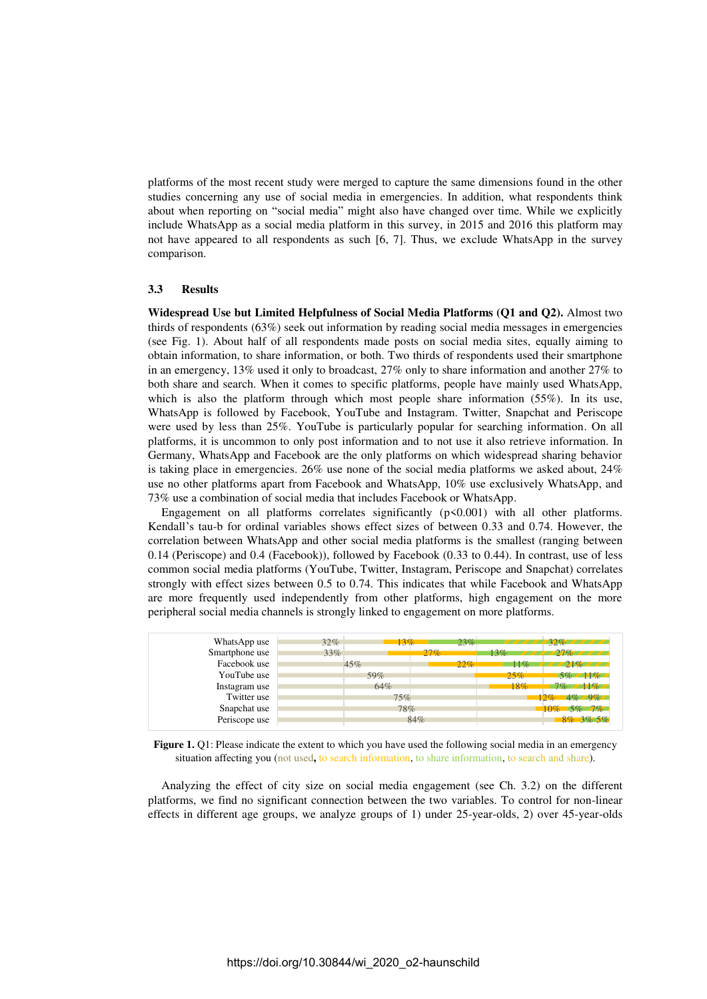platforms of the most recent study were merged to capture the same dimensions found in the other studies concerning any use of social media in emergencies. In addition, what respondents think about when reporting on "social media" might also have changed over time. While we explicitly include WhatsApp as a social media platform in this survey, in 2015 and 2016 this platform may not have appeared to all respondents as such [6, 7]. Thus, we exclude WhatsApp in the survey comparison.

#### **3.3 Results**

**Widespread Use but Limited Helpfulness of Social Media Platforms (Q1 and Q2).** Almost two thirds of respondents (63%) seek out information by reading social media messages in emergencies (see Fig. 1). About half of all respondents made posts on social media sites, equally aiming to obtain information, to share information, or both. Two thirds of respondents used their smartphone in an emergency, 13% used it only to broadcast, 27% only to share information and another 27% to both share and search. When it comes to specific platforms, people have mainly used WhatsApp, which is also the platform through which most people share information (55%). In its use, WhatsApp is followed by Facebook, YouTube and Instagram. Twitter, Snapchat and Periscope were used by less than 25%. YouTube is particularly popular for searching information. On all platforms, it is uncommon to only post information and to not use it also retrieve information. In Germany, WhatsApp and Facebook are the only platforms on which widespread sharing behavior is taking place in emergencies. 26% use none of the social media platforms we asked about,  $24%$ use no other platforms apart from Facebook and WhatsApp, 10% use exclusively WhatsApp, and 73% use a combination of social media that includes Facebook or WhatsApp.

Engagement on all platforms correlates significantly  $(p<0.001)$  with all other platforms. Kendall's tau-b for ordinal variables shows effect sizes of between 0.33 and 0.74. However, the correlation between WhatsApp and other social media platforms is the smallest (ranging between 0.14 (Periscope) and 0.4 (Facebook)), followed by Facebook (0.33 to 0.44). In contrast, use of less common social media platforms (YouTube, Twitter, Instagram, Periscope and Snapchat) correlates strongly with effect sizes between 0.5 to 0.74. This indicates that while Facebook and WhatsApp are more frequently used independently from other platforms, high engagement on the more peripheral social media channels is strongly linked to engagement on more platforms.

| WhatsApp use   | 32% | 3%  |     | 23% |       | 32%             |
|----------------|-----|-----|-----|-----|-------|-----------------|
| Smartphone use | 33% |     | 27% |     | 13%   | 27%             |
| Facebook use   |     | 45% |     | 22% | $1\%$ | 21%             |
| YouTube use    |     | 59% |     |     | 25%   | $11\%$<br>$5\%$ |
| Instagram use  |     | 64% |     |     | 18%   | 11%             |
| Twitter use    |     | 75% |     |     |       | 9%<br>4%        |
| Snapchat use   |     | 78% |     |     |       | 7%<br>10%       |
| Periscope use  |     |     | 84% |     |       | $8\%$ 3% 5%     |

**Figure 1.** Q1: Please indicate the extent to which you have used the following social media in an emergency situation affecting you (not used**,** to search information, to share information, to search and share).

Analyzing the effect of city size on social media engagement (see Ch. 3.2) on the different platforms, we find no significant connection between the two variables. To control for non-linear effects in different age groups, we analyze groups of 1) under 25-year-olds, 2) over 45-year-olds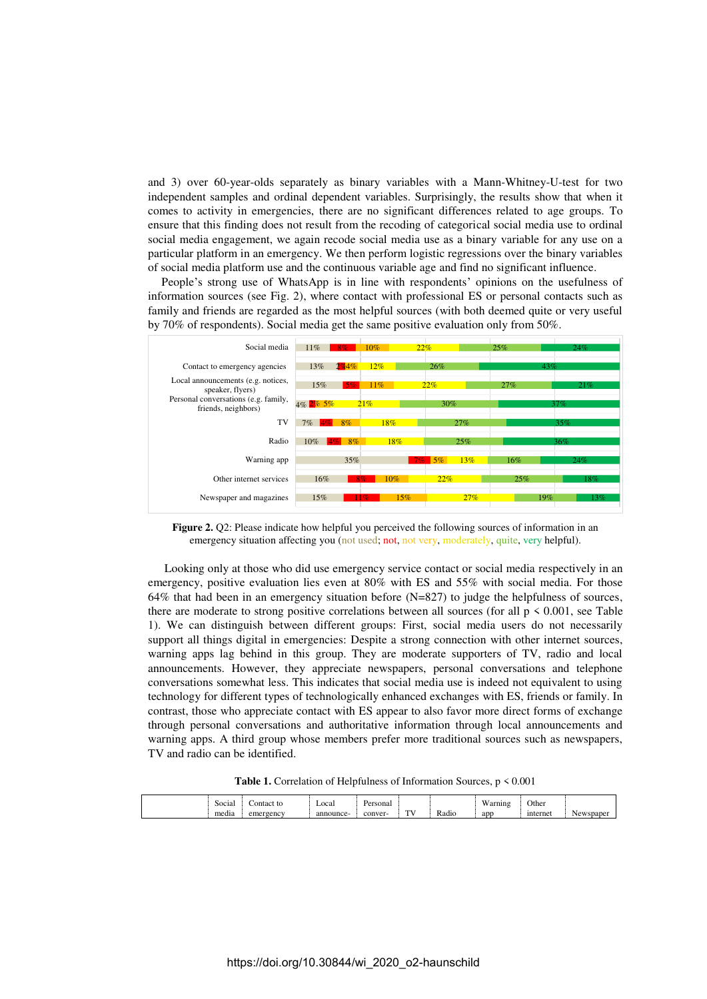and 3) over 60-year-olds separately as binary variables with a Mann-Whitney-U-test for two independent samples and ordinal dependent variables. Surprisingly, the results show that when it comes to activity in emergencies, there are no significant differences related to age groups. To ensure that this finding does not result from the recoding of categorical social media use to ordinal social media engagement, we again recode social media use as a binary variable for any use on a particular platform in an emergency. We then perform logistic regressions over the binary variables of social media platform use and the continuous variable age and find no significant influence.

People's strong use of WhatsApp is in line with respondents' opinions on the usefulness of information sources (see Fig. 2), where contact with professional ES or personal contacts such as family and friends are regarded as the most helpful sources (with both deemed quite or very useful by 70% of respondents). Social media get the same positive evaluation only from 50%.



Figure 2. Q2: Please indicate how helpful you perceived the following sources of information in an emergency situation affecting you (not used; not, not very, moderately, quite, very helpful).

Looking only at those who did use emergency service contact or social media respectively in an emergency, positive evaluation lies even at 80% with ES and 55% with social media. For those 64% that had been in an emergency situation before (N=827) to judge the helpfulness of sources, there are moderate to strong positive correlations between all sources (for all  $p \le 0.001$ , see Table 1). We can distinguish between different groups: First, social media users do not necessarily support all things digital in emergencies: Despite a strong connection with other internet sources, warning apps lag behind in this group. They are moderate supporters of TV, radio and local announcements. However, they appreciate newspapers, personal conversations and telephone conversations somewhat less. This indicates that social media use is indeed not equivalent to using technology for different types of technologically enhanced exchanges with ES, friends or family. In contrast, those who appreciate contact with ES appear to also favor more direct forms of exchange through personal conversations and authoritative information through local announcements and warning apps. A third group whose members prefer more traditional sources such as newspapers, TV and radio can be identified.

**Table 1.** Correlation of Helpfulness of Information Sources, p < 0.001

| $\sim$ | Social | ontact<br>tc | Local     | ersonal |            |                       | Warning                | Other    |                |
|--------|--------|--------------|-----------|---------|------------|-----------------------|------------------------|----------|----------------|
|        | media  | emergency    | announce- | conver- | <b>TIX</b> | -<br>$\cdot$<br>Radio | and the control<br>app | internet | wspaper<br>New |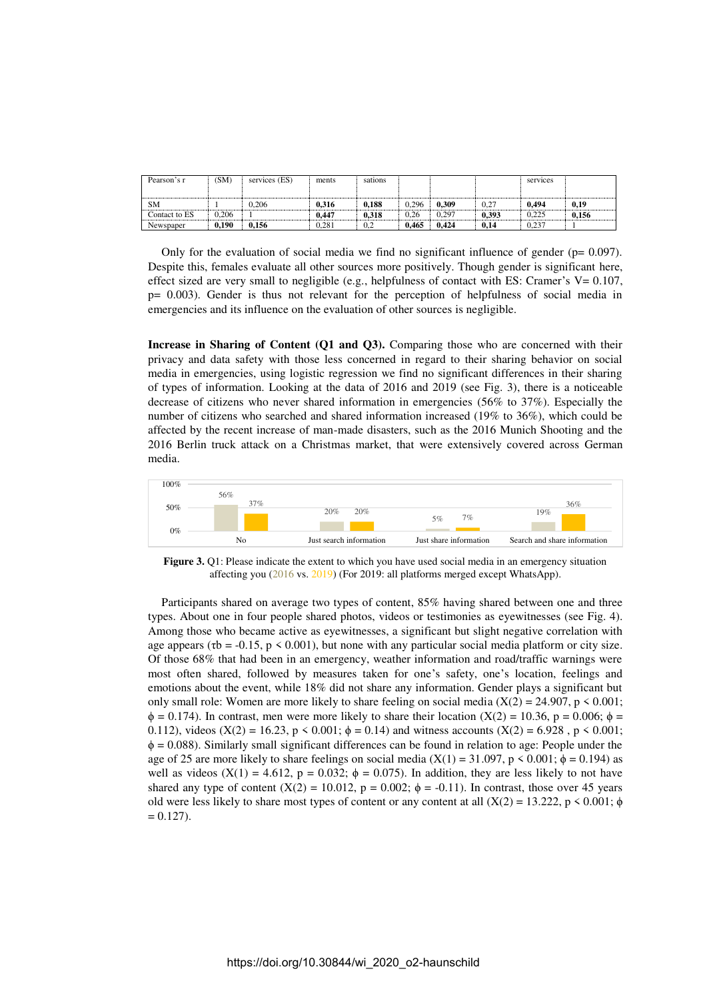| Pearson's r   | 'SM)  | services (ES) | ments | sations |       |       |       | services |       |
|---------------|-------|---------------|-------|---------|-------|-------|-------|----------|-------|
| SΜ            |       | 0.206         | 0.316 | 0.188   | 0.296 | 0.309 | 0.27  | 0.494    | 0.19  |
| Contact to ES | .206  |               | 0.447 | 0.318   | 0.26  | 0.297 | 0.393 |          | 0.156 |
| Newspaper     | 0.190 | 0.156         | 0.281 | 0.2     | 0.465 | 0.424 | 0.14  | 0.237    |       |

Only for the evaluation of social media we find no significant influence of gender ( $p= 0.097$ ). Despite this, females evaluate all other sources more positively. Though gender is significant here, effect sized are very small to negligible (e.g., helpfulness of contact with ES: Cramer's  $V = 0.107$ , p= 0.003). Gender is thus not relevant for the perception of helpfulness of social media in emergencies and its influence on the evaluation of other sources is negligible.

**Increase in Sharing of Content (Q1 and Q3).** Comparing those who are concerned with their privacy and data safety with those less concerned in regard to their sharing behavior on social media in emergencies, using logistic regression we find no significant differences in their sharing of types of information. Looking at the data of 2016 and 2019 (see Fig. 3), there is a noticeable decrease of citizens who never shared information in emergencies (56% to 37%). Especially the number of citizens who searched and shared information increased (19% to 36%), which could be affected by the recent increase of man-made disasters, such as the 2016 Munich Shooting and the 2016 Berlin truck attack on a Christmas market, that were extensively covered across German media.



**Figure 3.** Q1: Please indicate the extent to which you have used social media in an emergency situation affecting you (2016 vs. 2019) (For 2019: all platforms merged except WhatsApp).

Participants shared on average two types of content, 85% having shared between one and three types. About one in four people shared photos, videos or testimonies as eyewitnesses (see Fig. 4). Among those who became active as eyewitnesses, a significant but slight negative correlation with age appears ( $\tau$ b = -0.15, p < 0.001), but none with any particular social media platform or city size. Of those 68% that had been in an emergency, weather information and road/traffic warnings were most often shared, followed by measures taken for one's safety, one's location, feelings and emotions about the event, while 18% did not share any information. Gender plays a significant but only small role: Women are more likely to share feeling on social media  $(X(2) = 24.907, p \le 0.001;$  $\phi = 0.174$ ). In contrast, men were more likely to share their location (X(2) = 10.36, p = 0.006;  $\phi$  = 0.112), videos (X(2) = 16.23, p < 0.001;  $\phi$  = 0.14) and witness accounts (X(2) = 6.928, p < 0.001;  $\phi = 0.088$ ). Similarly small significant differences can be found in relation to age: People under the age of 25 are more likely to share feelings on social media ( $X(1) = 31.097$ ,  $p \le 0.001$ ;  $\phi = 0.194$ ) as well as videos (X(1) = 4.612, p = 0.032;  $\phi$  = 0.075). In addition, they are less likely to not have shared any type of content  $(X(2) = 10.012, p = 0.002; \phi = -0.11)$ . In contrast, those over 45 years old were less likely to share most types of content or any content at all  $(X(2) = 13.222, p \le 0.001; \phi$  $= 0.127$ .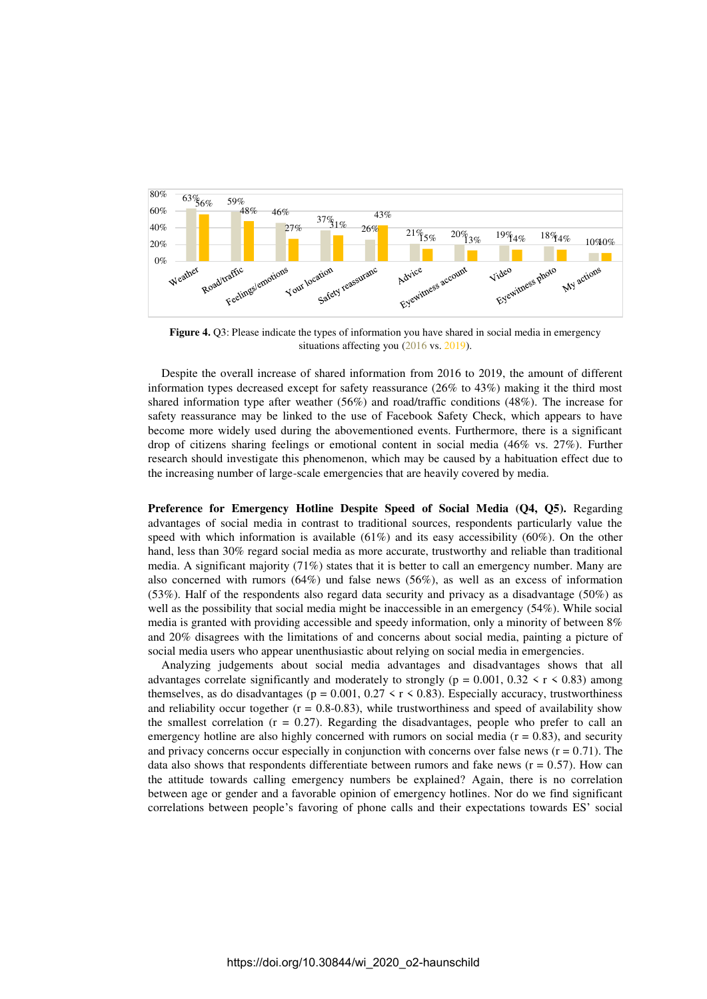

**Figure 4.** Q3: Please indicate the types of information you have shared in social media in emergency situations affecting you (2016 vs. 2019).

Despite the overall increase of shared information from 2016 to 2019, the amount of different information types decreased except for safety reassurance (26% to 43%) making it the third most shared information type after weather (56%) and road/traffic conditions (48%). The increase for safety reassurance may be linked to the use of Facebook Safety Check, which appears to have become more widely used during the abovementioned events. Furthermore, there is a significant drop of citizens sharing feelings or emotional content in social media (46% vs. 27%). Further research should investigate this phenomenon, which may be caused by a habituation effect due to the increasing number of large-scale emergencies that are heavily covered by media.

**Preference for Emergency Hotline Despite Speed of Social Media (Q4, Q5).** Regarding advantages of social media in contrast to traditional sources, respondents particularly value the speed with which information is available  $(61%)$  and its easy accessibility  $(60%)$ . On the other hand, less than 30% regard social media as more accurate, trustworthy and reliable than traditional media. A significant majority (71%) states that it is better to call an emergency number. Many are also concerned with rumors (64%) und false news (56%), as well as an excess of information  $(53\%)$ . Half of the respondents also regard data security and privacy as a disadvantage  $(50\%)$  as well as the possibility that social media might be inaccessible in an emergency (54%). While social media is granted with providing accessible and speedy information, only a minority of between 8% and 20% disagrees with the limitations of and concerns about social media, painting a picture of social media users who appear unenthusiastic about relying on social media in emergencies.

Analyzing judgements about social media advantages and disadvantages shows that all advantages correlate significantly and moderately to strongly ( $p = 0.001, 0.32 \le r \le 0.83$ ) among themselves, as do disadvantages ( $p = 0.001$ ,  $0.27 \le r \le 0.83$ ). Especially accuracy, trustworthiness and reliability occur together ( $r = 0.8-0.83$ ), while trustworthiness and speed of availability show the smallest correlation ( $r = 0.27$ ). Regarding the disadvantages, people who prefer to call an emergency hotline are also highly concerned with rumors on social media ( $r = 0.83$ ), and security and privacy concerns occur especially in conjunction with concerns over false news ( $r = 0.71$ ). The data also shows that respondents differentiate between rumors and fake news  $(r = 0.57)$ . How can the attitude towards calling emergency numbers be explained? Again, there is no correlation between age or gender and a favorable opinion of emergency hotlines. Nor do we find significant correlations between people's favoring of phone calls and their expectations towards ES' social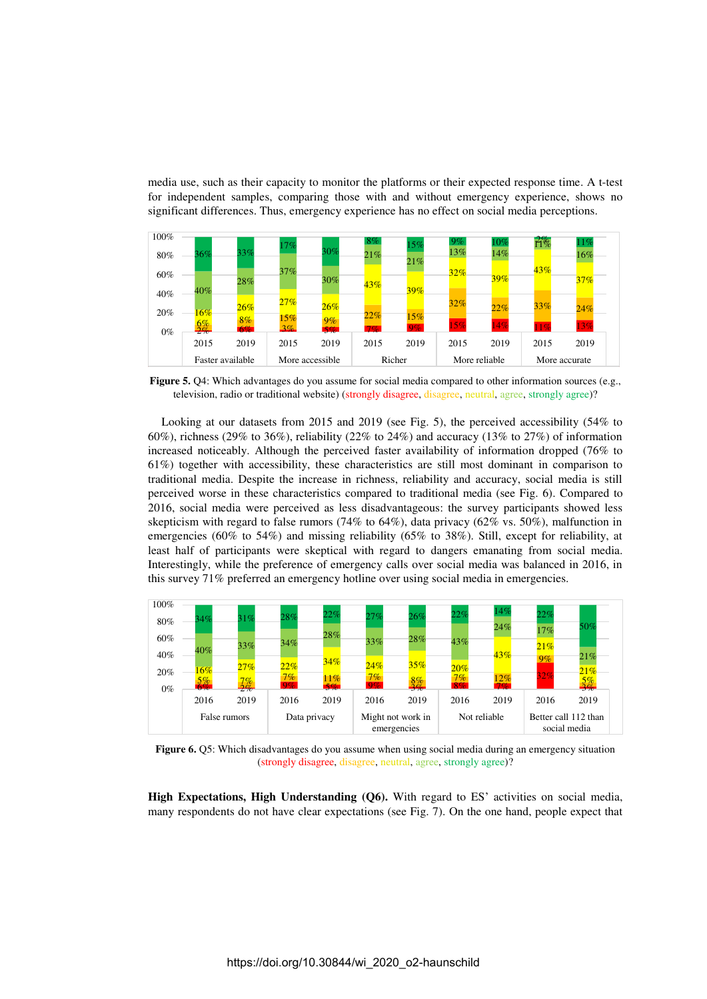media use, such as their capacity to monitor the platforms or their expected response time. A t-test for independent samples, comparing those with and without emergency experience, shows no significant differences. Thus, emergency experience has no effect on social media perceptions.



**Figure 5.** Q4: Which advantages do you assume for social media compared to other information sources (e.g., television, radio or traditional website) (strongly disagree, disagree, neutral, agree, strongly agree)?

Looking at our datasets from 2015 and 2019 (see Fig. 5), the perceived accessibility (54% to 60%), richness (29% to 36%), reliability (22% to 24%) and accuracy (13% to 27%) of information increased noticeably. Although the perceived faster availability of information dropped (76% to 61%) together with accessibility, these characteristics are still most dominant in comparison to traditional media. Despite the increase in richness, reliability and accuracy, social media is still perceived worse in these characteristics compared to traditional media (see Fig. 6). Compared to 2016, social media were perceived as less disadvantageous: the survey participants showed less skepticism with regard to false rumors (74% to 64%), data privacy (62% vs. 50%), malfunction in emergencies (60% to 54%) and missing reliability (65% to 38%). Still, except for reliability, at least half of participants were skeptical with regard to dangers emanating from social media. Interestingly, while the preference of emergency calls over social media was balanced in 2016, in this survey 71% preferred an emergency hotline over using social media in emergencies.



**Figure 6.** Q5: Which disadvantages do you assume when using social media during an emergency situation (strongly disagree, disagree, neutral, agree, strongly agree)?

High Expectations, High Understanding (Q6). With regard to ES' activities on social media, many respondents do not have clear expectations (see Fig. 7). On the one hand, people expect that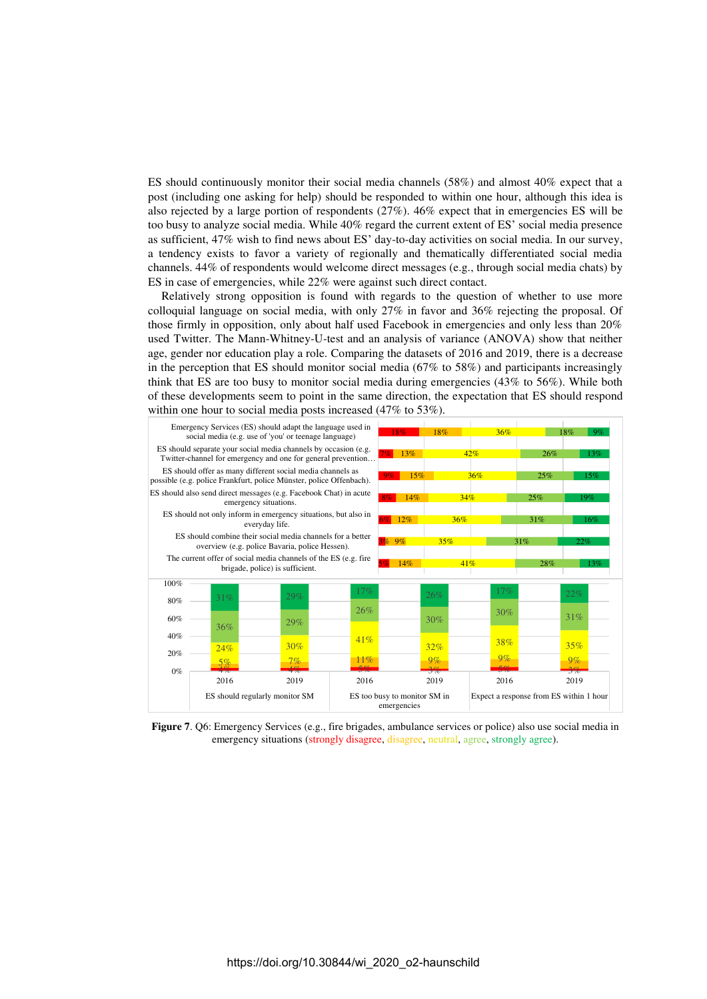ES should continuously monitor their social media channels (58%) and almost 40% expect that a post (including one asking for help) should be responded to within one hour, although this idea is also rejected by a large portion of respondents (27%). 46% expect that in emergencies ES will be too busy to analyze social media. While 40% regard the current extent of ES' social media presence as sufficient, 47% wish to find news about ES' day-to-day activities on social media. In our survey, a tendency exists to favor a variety of regionally and thematically differentiated social media channels. 44% of respondents would welcome direct messages (e.g., through social media chats) by ES in case of emergencies, while 22% were against such direct contact.

Relatively strong opposition is found with regards to the question of whether to use more colloquial language on social media, with only 27% in favor and 36% rejecting the proposal. Of those firmly in opposition, only about half used Facebook in emergencies and only less than 20% used Twitter. The Mann-Whitney-U-test and an analysis of variance (ANOVA) show that neither age, gender nor education play a role. Comparing the datasets of 2016 and 2019, there is a decrease in the perception that ES should monitor social media  $(67\%$  to 58%) and participants increasingly think that ES are too busy to monitor social media during emergencies (43% to 56%). While both of these developments seem to point in the same direction, the expectation that ES should respond within one hour to social media posts increased (47% to 53%).



**Figure 7**. Q6: Emergency Services (e.g., fire brigades, ambulance services or police) also use social media in emergency situations (strongly disagree, disagree, neutral, agree, strongly agree).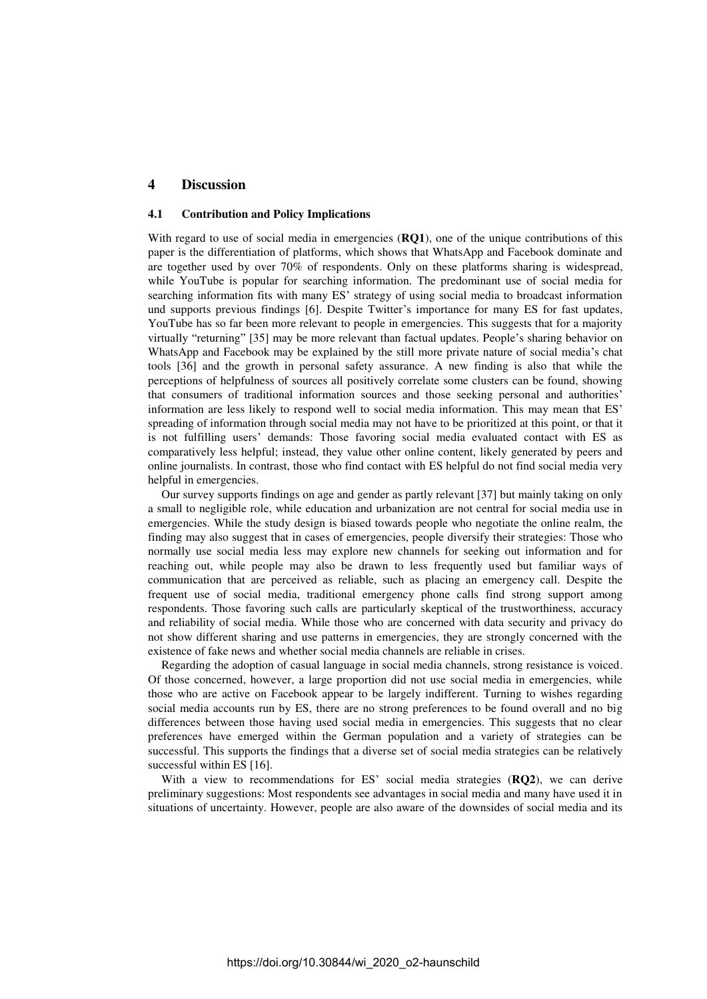### **4 Discussion**

#### **4.1 Contribution and Policy Implications**

With regard to use of social media in emergencies (**RQ1**), one of the unique contributions of this paper is the differentiation of platforms, which shows that WhatsApp and Facebook dominate and are together used by over 70% of respondents. Only on these platforms sharing is widespread, while YouTube is popular for searching information. The predominant use of social media for searching information fits with many ES' strategy of using social media to broadcast information und supports previous findings [6]. Despite Twitter's importance for many ES for fast updates, YouTube has so far been more relevant to people in emergencies. This suggests that for a majority virtually "returning" [35] may be more relevant than factual updates. People's sharing behavior on WhatsApp and Facebook may be explained by the still more private nature of social media's chat tools [36] and the growth in personal safety assurance. A new finding is also that while the perceptions of helpfulness of sources all positively correlate some clusters can be found, showing that consumers of traditional information sources and those seeking personal and authorities' information are less likely to respond well to social media information. This may mean that ES' spreading of information through social media may not have to be prioritized at this point, or that it is not fulfilling users' demands: Those favoring social media evaluated contact with ES as comparatively less helpful; instead, they value other online content, likely generated by peers and online journalists. In contrast, those who find contact with ES helpful do not find social media very helpful in emergencies.

Our survey supports findings on age and gender as partly relevant [37] but mainly taking on only a small to negligible role, while education and urbanization are not central for social media use in emergencies. While the study design is biased towards people who negotiate the online realm, the finding may also suggest that in cases of emergencies, people diversify their strategies: Those who normally use social media less may explore new channels for seeking out information and for reaching out, while people may also be drawn to less frequently used but familiar ways of communication that are perceived as reliable, such as placing an emergency call. Despite the frequent use of social media, traditional emergency phone calls find strong support among respondents. Those favoring such calls are particularly skeptical of the trustworthiness, accuracy and reliability of social media. While those who are concerned with data security and privacy do not show different sharing and use patterns in emergencies, they are strongly concerned with the existence of fake news and whether social media channels are reliable in crises.

Regarding the adoption of casual language in social media channels, strong resistance is voiced. Of those concerned, however, a large proportion did not use social media in emergencies, while those who are active on Facebook appear to be largely indifferent. Turning to wishes regarding social media accounts run by ES, there are no strong preferences to be found overall and no big differences between those having used social media in emergencies. This suggests that no clear preferences have emerged within the German population and a variety of strategies can be successful. This supports the findings that a diverse set of social media strategies can be relatively successful within ES [16].

With a view to recommendations for ES' social media strategies (**RQ2**), we can derive preliminary suggestions: Most respondents see advantages in social media and many have used it in situations of uncertainty. However, people are also aware of the downsides of social media and its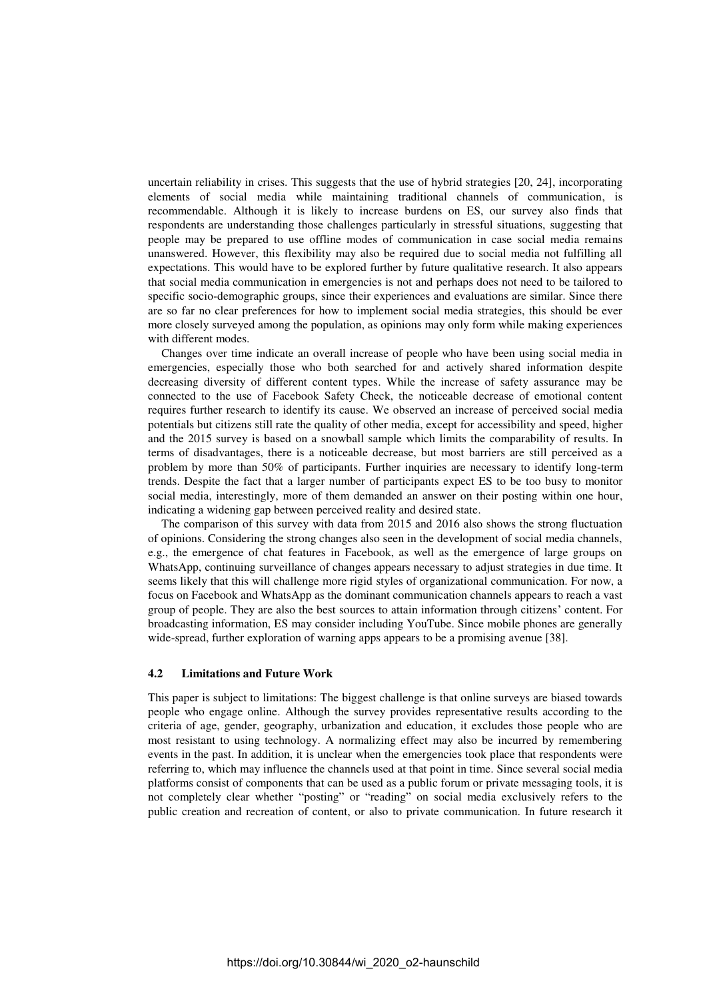uncertain reliability in crises. This suggests that the use of hybrid strategies [20, 24], incorporating elements of social media while maintaining traditional channels of communication, is recommendable. Although it is likely to increase burdens on ES, our survey also finds that respondents are understanding those challenges particularly in stressful situations, suggesting that people may be prepared to use offline modes of communication in case social media remains unanswered. However, this flexibility may also be required due to social media not fulfilling all expectations. This would have to be explored further by future qualitative research. It also appears that social media communication in emergencies is not and perhaps does not need to be tailored to specific socio-demographic groups, since their experiences and evaluations are similar. Since there are so far no clear preferences for how to implement social media strategies, this should be ever more closely surveyed among the population, as opinions may only form while making experiences with different modes.

Changes over time indicate an overall increase of people who have been using social media in emergencies, especially those who both searched for and actively shared information despite decreasing diversity of different content types. While the increase of safety assurance may be connected to the use of Facebook Safety Check, the noticeable decrease of emotional content requires further research to identify its cause. We observed an increase of perceived social media potentials but citizens still rate the quality of other media, except for accessibility and speed, higher and the 2015 survey is based on a snowball sample which limits the comparability of results. In terms of disadvantages, there is a noticeable decrease, but most barriers are still perceived as a problem by more than 50% of participants. Further inquiries are necessary to identify long-term trends. Despite the fact that a larger number of participants expect ES to be too busy to monitor social media, interestingly, more of them demanded an answer on their posting within one hour, indicating a widening gap between perceived reality and desired state.

The comparison of this survey with data from 2015 and 2016 also shows the strong fluctuation of opinions. Considering the strong changes also seen in the development of social media channels, e.g., the emergence of chat features in Facebook, as well as the emergence of large groups on WhatsApp, continuing surveillance of changes appears necessary to adjust strategies in due time. It seems likely that this will challenge more rigid styles of organizational communication. For now, a focus on Facebook and WhatsApp as the dominant communication channels appears to reach a vast group of people. They are also the best sources to attain information through citizens' content. For broadcasting information, ES may consider including YouTube. Since mobile phones are generally wide-spread, further exploration of warning apps appears to be a promising avenue [38].

#### **4.2 Limitations and Future Work**

This paper is subject to limitations: The biggest challenge is that online surveys are biased towards people who engage online. Although the survey provides representative results according to the criteria of age, gender, geography, urbanization and education, it excludes those people who are most resistant to using technology. A normalizing effect may also be incurred by remembering events in the past. In addition, it is unclear when the emergencies took place that respondents were referring to, which may influence the channels used at that point in time. Since several social media platforms consist of components that can be used as a public forum or private messaging tools, it is not completely clear whether "posting" or "reading" on social media exclusively refers to the public creation and recreation of content, or also to private communication. In future research it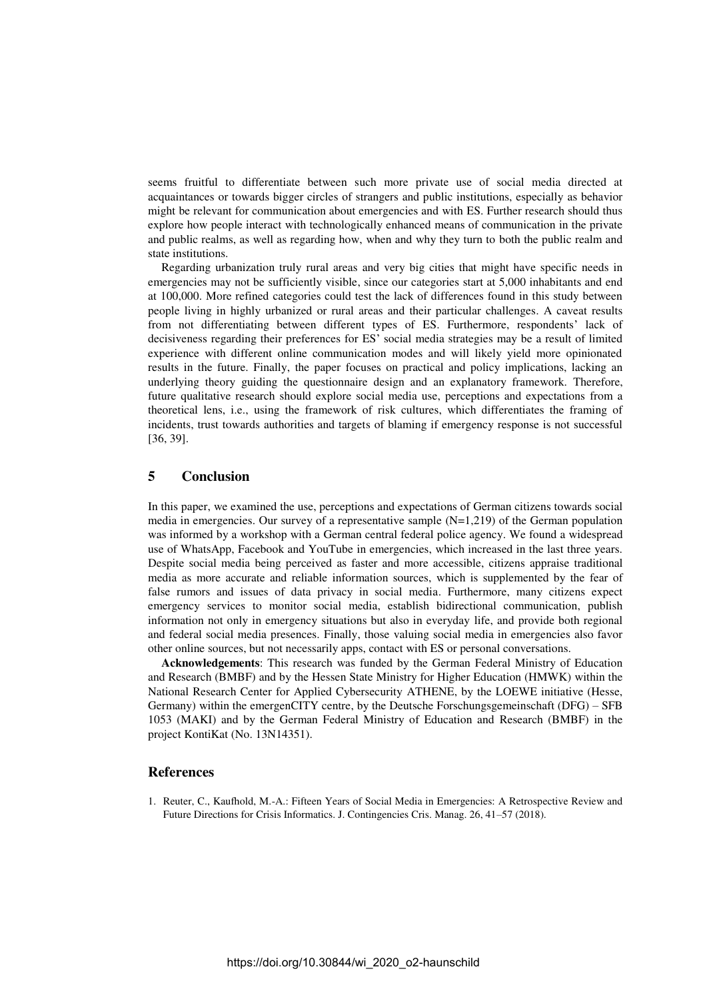seems fruitful to differentiate between such more private use of social media directed at acquaintances or towards bigger circles of strangers and public institutions, especially as behavior might be relevant for communication about emergencies and with ES. Further research should thus explore how people interact with technologically enhanced means of communication in the private and public realms, as well as regarding how, when and why they turn to both the public realm and state institutions.

Regarding urbanization truly rural areas and very big cities that might have specific needs in emergencies may not be sufficiently visible, since our categories start at 5,000 inhabitants and end at 100,000. More refined categories could test the lack of differences found in this study between people living in highly urbanized or rural areas and their particular challenges. A caveat results from not differentiating between different types of ES. Furthermore, respondents' lack of decisiveness regarding their preferences for ES' social media strategies may be a result of limited experience with different online communication modes and will likely yield more opinionated results in the future. Finally, the paper focuses on practical and policy implications, lacking an underlying theory guiding the questionnaire design and an explanatory framework. Therefore, future qualitative research should explore social media use, perceptions and expectations from a theoretical lens, i.e., using the framework of risk cultures, which differentiates the framing of incidents, trust towards authorities and targets of blaming if emergency response is not successful [36, 39].

# **5 Conclusion**

In this paper, we examined the use, perceptions and expectations of German citizens towards social media in emergencies. Our survey of a representative sample  $(N=1,219)$  of the German population was informed by a workshop with a German central federal police agency. We found a widespread use of WhatsApp, Facebook and YouTube in emergencies, which increased in the last three years. Despite social media being perceived as faster and more accessible, citizens appraise traditional media as more accurate and reliable information sources, which is supplemented by the fear of false rumors and issues of data privacy in social media. Furthermore, many citizens expect emergency services to monitor social media, establish bidirectional communication, publish information not only in emergency situations but also in everyday life, and provide both regional and federal social media presences. Finally, those valuing social media in emergencies also favor other online sources, but not necessarily apps, contact with ES or personal conversations.

**Acknowledgements**: This research was funded by the German Federal Ministry of Education and Research (BMBF) and by the Hessen State Ministry for Higher Education (HMWK) within the National Research Center for Applied Cybersecurity ATHENE, by the LOEWE initiative (Hesse, Germany) within the emergenCITY centre, by the Deutsche Forschungsgemeinschaft (DFG) – SFB 1053 (MAKI) and by the German Federal Ministry of Education and Research (BMBF) in the project KontiKat (No. 13N14351).

#### **References**

1. Reuter, C., Kaufhold, M.-A.: Fifteen Years of Social Media in Emergencies: A Retrospective Review and Future Directions for Crisis Informatics. J. Contingencies Cris. Manag. 26, 41–57 (2018).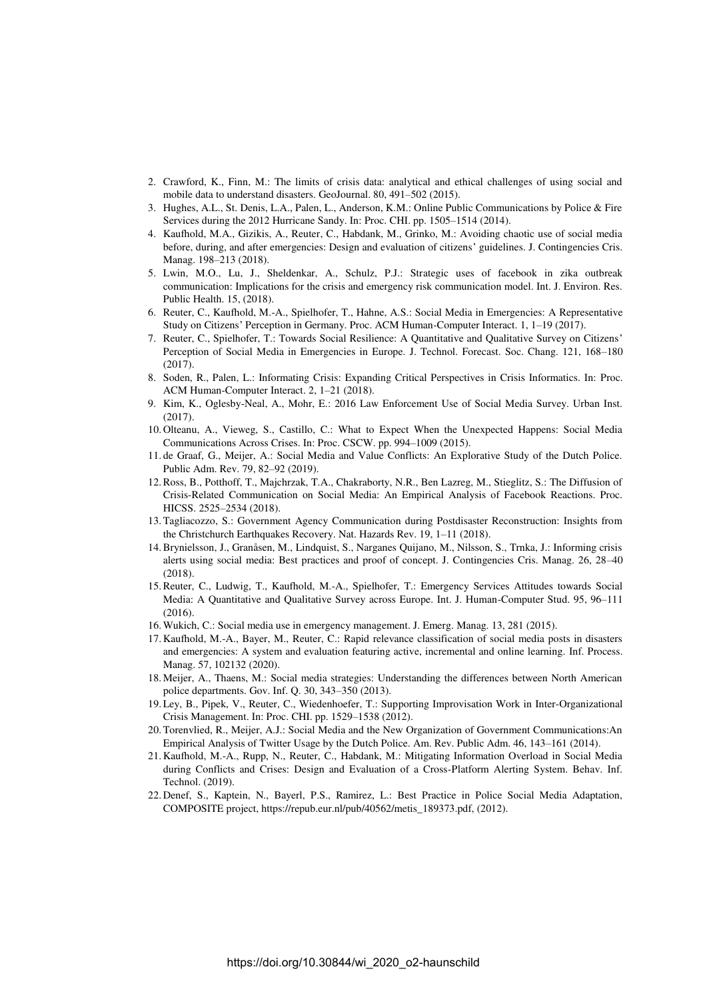- 2. Crawford, K., Finn, M.: The limits of crisis data: analytical and ethical challenges of using social and mobile data to understand disasters. GeoJournal. 80, 491–502 (2015).
- 3. Hughes, A.L., St. Denis, L.A., Palen, L., Anderson, K.M.: Online Public Communications by Police & Fire Services during the 2012 Hurricane Sandy. In: Proc. CHI. pp. 1505–1514 (2014).
- 4. Kaufhold, M.A., Gizikis, A., Reuter, C., Habdank, M., Grinko, M.: Avoiding chaotic use of social media before, during, and after emergencies: Design and evaluation of citizens' guidelines. J. Contingencies Cris. Manag. 198–213 (2018).
- 5. Lwin, M.O., Lu, J., Sheldenkar, A., Schulz, P.J.: Strategic uses of facebook in zika outbreak communication: Implications for the crisis and emergency risk communication model. Int. J. Environ. Res. Public Health. 15, (2018).
- 6. Reuter, C., Kaufhold, M.-A., Spielhofer, T., Hahne, A.S.: Social Media in Emergencies: A Representative Study on Citizens' Perception in Germany. Proc. ACM Human-Computer Interact. 1, 1–19 (2017).
- 7. Reuter, C., Spielhofer, T.: Towards Social Resilience: A Quantitative and Qualitative Survey on Citizens' Perception of Social Media in Emergencies in Europe. J. Technol. Forecast. Soc. Chang. 121, 168–180 (2017).
- 8. Soden, R., Palen, L.: Informating Crisis: Expanding Critical Perspectives in Crisis Informatics. In: Proc. ACM Human-Computer Interact. 2, 1–21 (2018).
- 9. Kim, K., Oglesby-Neal, A., Mohr, E.: 2016 Law Enforcement Use of Social Media Survey. Urban Inst. (2017).
- 10. Olteanu, A., Vieweg, S., Castillo, C.: What to Expect When the Unexpected Happens: Social Media Communications Across Crises. In: Proc. CSCW. pp. 994–1009 (2015).
- 11. de Graaf, G., Meijer, A.: Social Media and Value Conflicts: An Explorative Study of the Dutch Police. Public Adm. Rev. 79, 82–92 (2019).
- 12. Ross, B., Potthoff, T., Majchrzak, T.A., Chakraborty, N.R., Ben Lazreg, M., Stieglitz, S.: The Diffusion of Crisis-Related Communication on Social Media: An Empirical Analysis of Facebook Reactions. Proc. HICSS. 2525–2534 (2018).
- 13. Tagliacozzo, S.: Government Agency Communication during Postdisaster Reconstruction: Insights from the Christchurch Earthquakes Recovery. Nat. Hazards Rev. 19, 1–11 (2018).
- 14. Brynielsson, J., Granåsen, M., Lindquist, S., Narganes Quijano, M., Nilsson, S., Trnka, J.: Informing crisis alerts using social media: Best practices and proof of concept. J. Contingencies Cris. Manag. 26, 28–40 (2018).
- 15. Reuter, C., Ludwig, T., Kaufhold, M.-A., Spielhofer, T.: Emergency Services Attitudes towards Social Media: A Quantitative and Qualitative Survey across Europe. Int. J. Human-Computer Stud. 95, 96–111 (2016).
- 16. Wukich, C.: Social media use in emergency management. J. Emerg. Manag. 13, 281 (2015).
- 17. Kaufhold, M.-A., Bayer, M., Reuter, C.: Rapid relevance classification of social media posts in disasters and emergencies: A system and evaluation featuring active, incremental and online learning. Inf. Process. Manag. 57, 102132 (2020).
- 18. Meijer, A., Thaens, M.: Social media strategies: Understanding the differences between North American police departments. Gov. Inf. Q. 30, 343–350 (2013).
- 19. Ley, B., Pipek, V., Reuter, C., Wiedenhoefer, T.: Supporting Improvisation Work in Inter-Organizational Crisis Management. In: Proc. CHI. pp. 1529–1538 (2012).
- 20. Torenvlied, R., Meijer, A.J.: Social Media and the New Organization of Government Communications:An Empirical Analysis of Twitter Usage by the Dutch Police. Am. Rev. Public Adm. 46, 143–161 (2014).
- 21. Kaufhold, M.-A., Rupp, N., Reuter, C., Habdank, M.: Mitigating Information Overload in Social Media during Conflicts and Crises: Design and Evaluation of a Cross-Platform Alerting System. Behav. Inf. Technol. (2019).
- 22. Denef, S., Kaptein, N., Bayerl, P.S., Ramirez, L.: Best Practice in Police Social Media Adaptation, COMPOSITE project, https://repub.eur.nl/pub/40562/metis\_189373.pdf, (2012).